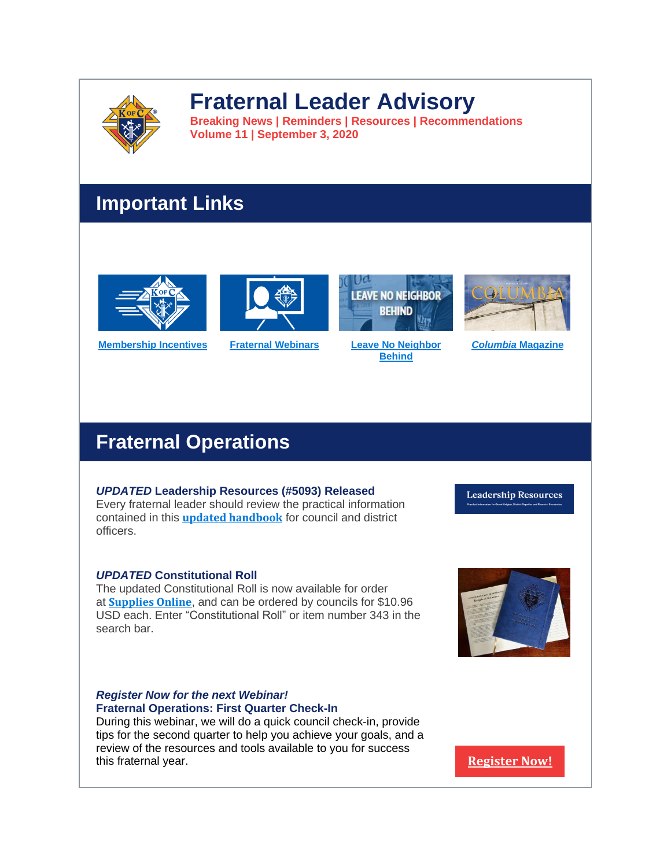

# **Fraternal Leader Advisory**

**Breaking News | Reminders | Resources | Recommendations Volume 11 | September 3, 2020**

# **Important Links**













## *UPDATED* **Leadership Resources (#5093) Released**

Every fraternal leader should review the practical information contained in this **updated [handbook](http://r20.rs6.net/tn.jsp?f=001TpZJ_WoKz6oQwRKJ5Ue0lH3ZDtk1uVXjolhQVCHV1U4FN6nkXS15x4qRvoP9HNo9E5hL1mrsvo2HzsRnUHpxhC8WB8PtmvrA3Wu3krL3LaYynMfB2sfsgyemv6zugaljHQKILYZ2of8zlRX05RKfpduvSfQMVtWedCI9n3z3I-l55dq7_SGP8ERY3iniRO-VniBgIVbXg2hVFLFvYGzNWnoCvavB4uwpKSqNHY8YiAg=&c=JnahBK8f8vIoAJwo-bl7ovoQqauD23_xFVG3pbTiCEXzSU0C-3tFCQ==&ch=9oLM3320ZVSSnBPQmyB-OwXPeQwFaMtthxgP65O2-kiO8bhJ82gDuw==)** for council and district officers.

*UPDATED* **Constitutional Roll**

The updated Constitutional Roll is now available for order at **[Supplies](http://r20.rs6.net/tn.jsp?f=001TpZJ_WoKz6oQwRKJ5Ue0lH3ZDtk1uVXjolhQVCHV1U4FN6nkXS15x87vMcYg_lSP7M-TqkPd0ZzXtK2NUJmd-zKQXpI89pII2dbG-SENRYlU9-FC1CnLWRMUT8FmQAW604pCa57Onbq9sDFoui2JzOWPWrYZu0s6x1DtjYRBv7WBE2u1waN1sY-WRt3f7tsn&c=JnahBK8f8vIoAJwo-bl7ovoQqauD23_xFVG3pbTiCEXzSU0C-3tFCQ==&ch=9oLM3320ZVSSnBPQmyB-OwXPeQwFaMtthxgP65O2-kiO8bhJ82gDuw==) Online**, and can be ordered by councils for \$10.96 USD each. Enter "Constitutional Roll" or item number 343 in the search bar.

### *Register Now for the next Webinar!* **Fraternal Operations: First Quarter Check-In**

During this webinar, we will do a quick council check-in, provide tips for the second quarter to help you achieve your goals, and a review of the resources and tools available to you for success this fraternal year. **[Register](http://r20.rs6.net/tn.jsp?f=001TpZJ_WoKz6oQwRKJ5Ue0lH3ZDtk1uVXjolhQVCHV1U4FN6nkXS15x4qRvoP9HNo9yJorQIRZ3xDN_4Aqqj4ISiRClSxO4BOK0TJzCBzlv9NVZhV0fRMw553hdr9z5guznRSY7FrN4dpR5NttD4nYrEGS2vsbVhKn83Bzxmd0jjh_3uXcyvHs2qSws_4KmH4mNr0ccDnJMMO6kF5dA9g3AEOTFaBecoaIXSGfkHBdW-A=&c=JnahBK8f8vIoAJwo-bl7ovoQqauD23_xFVG3pbTiCEXzSU0C-3tFCQ==&ch=9oLM3320ZVSSnBPQmyB-OwXPeQwFaMtthxgP65O2-kiO8bhJ82gDuw==) Now!**

**Leadership Resources** 

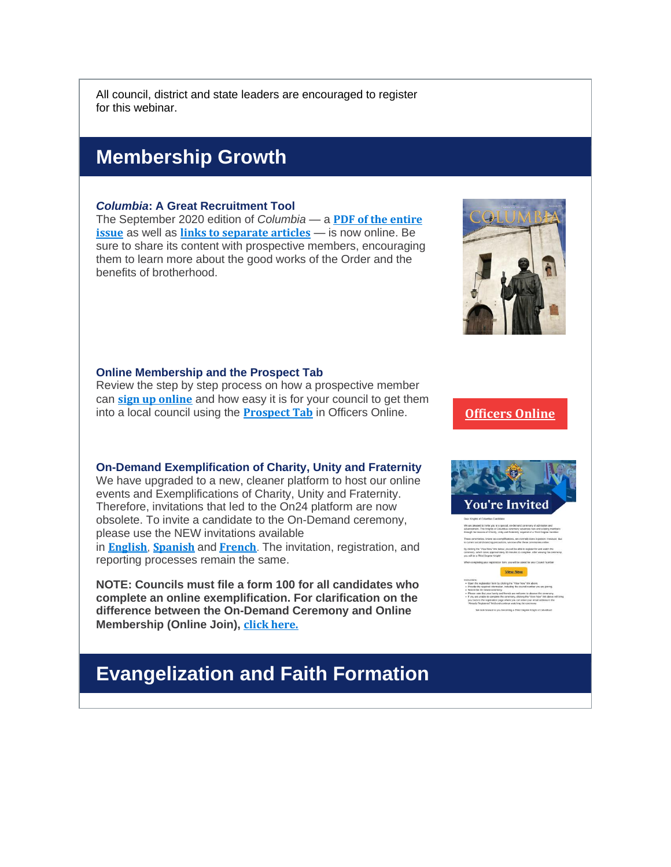All council, district and state leaders are encouraged to register for this webinar.

# **Membership Growth**

#### *Columbia***: A Great Recruitment Tool**

The September 2020 edition of *Columbia* — a **PDF of the [entire](http://r20.rs6.net/tn.jsp?f=001TpZJ_WoKz6oQwRKJ5Ue0lH3ZDtk1uVXjolhQVCHV1U4FN6nkXS15x4qRvoP9HNo9Q7vvCdm7VBH1gx3ANg2ofpTC2Q3RhfONh8Rp2OY1TmTr8fEOghI6sWNOMIi4LwVGlxJtbtjsqRvRGEFY4cBdvPuNdlyL4LG3PCnCdW_B9C4U4SutIPE74mltn_FkBmLf&c=JnahBK8f8vIoAJwo-bl7ovoQqauD23_xFVG3pbTiCEXzSU0C-3tFCQ==&ch=9oLM3320ZVSSnBPQmyB-OwXPeQwFaMtthxgP65O2-kiO8bhJ82gDuw==) [issue](http://r20.rs6.net/tn.jsp?f=001TpZJ_WoKz6oQwRKJ5Ue0lH3ZDtk1uVXjolhQVCHV1U4FN6nkXS15x4qRvoP9HNo9Q7vvCdm7VBH1gx3ANg2ofpTC2Q3RhfONh8Rp2OY1TmTr8fEOghI6sWNOMIi4LwVGlxJtbtjsqRvRGEFY4cBdvPuNdlyL4LG3PCnCdW_B9C4U4SutIPE74mltn_FkBmLf&c=JnahBK8f8vIoAJwo-bl7ovoQqauD23_xFVG3pbTiCEXzSU0C-3tFCQ==&ch=9oLM3320ZVSSnBPQmyB-OwXPeQwFaMtthxgP65O2-kiO8bhJ82gDuw==)** as well as **links to [separate](http://r20.rs6.net/tn.jsp?f=001TpZJ_WoKz6oQwRKJ5Ue0lH3ZDtk1uVXjolhQVCHV1U4FN6nkXS15x4qRvoP9HNo9sTisHMhXmH9HiPO0plbi5-wmFfDpqcONWdsbRXgXlev36mbLGz9vfiMD51favBszKwP8ZJzH-IuxMK3__xsMe_8AUcIM3PKw52DJeiwkHNXLIOUAMZmOW_wNBcbYMlS1&c=JnahBK8f8vIoAJwo-bl7ovoQqauD23_xFVG3pbTiCEXzSU0C-3tFCQ==&ch=9oLM3320ZVSSnBPQmyB-OwXPeQwFaMtthxgP65O2-kiO8bhJ82gDuw==) articles** — is now online. Be sure to share its content with prospective members, encouraging them to learn more about the good works of the Order and the benefits of brotherhood.



Review the step by step process on how a prospective member can **sign up [online](http://r20.rs6.net/tn.jsp?f=001TpZJ_WoKz6oQwRKJ5Ue0lH3ZDtk1uVXjolhQVCHV1U4FN6nkXS15x3fLAu_FBQ7hSOu7vebHueoh792q9JKg4XQ_hcQ7FEaFxmNwN23NPS-31sKJ_I24cSzqLL-bWZD9wjYhWGxSsZESbYGuzBg5AyzY9w8C4mUJPqmgqY6R2GxuiM4RBh3uRJ3Wa6i_xa8Tx-RUKkmvRCnZQj9m6HfkUOWiGD4j9If6iRNbeuUoBio=&c=JnahBK8f8vIoAJwo-bl7ovoQqauD23_xFVG3pbTiCEXzSU0C-3tFCQ==&ch=9oLM3320ZVSSnBPQmyB-OwXPeQwFaMtthxgP65O2-kiO8bhJ82gDuw==)** and how easy it is for your council to get them into a local council using the **[Prospect](http://r20.rs6.net/tn.jsp?f=001TpZJ_WoKz6oQwRKJ5Ue0lH3ZDtk1uVXjolhQVCHV1U4FN6nkXS15x3fLAu_FBQ7hJp2nwZrzelvoIqciQTU1TRPbJesRRJVoPG4Yu4HQZHCczeI8I7e3UqBFWZrThNerS_Hc-M2Zji2hkS-ofj-U5zI8lbacERnMlbrIXAzxNa1vXHGTUxFGzxg8dzggOZnU-RJPeyt2hjGsWL3DFNTQ87h-EBRX5Tp41_yaExpwaEE=&c=JnahBK8f8vIoAJwo-bl7ovoQqauD23_xFVG3pbTiCEXzSU0C-3tFCQ==&ch=9oLM3320ZVSSnBPQmyB-OwXPeQwFaMtthxgP65O2-kiO8bhJ82gDuw==) Tab** in Officers Online. **[Officers](http://r20.rs6.net/tn.jsp?f=001TpZJ_WoKz6oQwRKJ5Ue0lH3ZDtk1uVXjolhQVCHV1U4FN6nkXS15x87vMcYg_lSP7M-TqkPd0ZzXtK2NUJmd-zKQXpI89pII2dbG-SENRYlU9-FC1CnLWRMUT8FmQAW604pCa57Onbq9sDFoui2JzOWPWrYZu0s6x1DtjYRBv7WBE2u1waN1sY-WRt3f7tsn&c=JnahBK8f8vIoAJwo-bl7ovoQqauD23_xFVG3pbTiCEXzSU0C-3tFCQ==&ch=9oLM3320ZVSSnBPQmyB-OwXPeQwFaMtthxgP65O2-kiO8bhJ82gDuw==) Online**

#### **On-Demand Exemplification of Charity, Unity and Fraternity**

We have upgraded to a new, cleaner platform to host our online events and Exemplifications of Charity, Unity and Fraternity. Therefore, invitations that led to the On24 platform are now obsolete. To invite a candidate to the On-Demand ceremony, please use the NEW invitations available in **[English](http://r20.rs6.net/tn.jsp?f=001TpZJ_WoKz6oQwRKJ5Ue0lH3ZDtk1uVXjolhQVCHV1U4FN6nkXS15xwOMMm3x4bZ3kPYwfM4_l8C9vpgz0hPmDv9LmsufLkJwwKeVsKByUMqbutK-e-2VVTlhUQ3z14toUrOM3jOMhplk8waO4E6v1_KqF41apWOb7phi-4q-D6xnKJjtSQsrNnpeU0kSWYQ7E9R0VCZ0UsUdtD0tbA6jSH9jb-2THv7FdQxfmgHFLqg=&c=JnahBK8f8vIoAJwo-bl7ovoQqauD23_xFVG3pbTiCEXzSU0C-3tFCQ==&ch=9oLM3320ZVSSnBPQmyB-OwXPeQwFaMtthxgP65O2-kiO8bhJ82gDuw==)**, **[Spanish](http://r20.rs6.net/tn.jsp?f=001TpZJ_WoKz6oQwRKJ5Ue0lH3ZDtk1uVXjolhQVCHV1U4FN6nkXS15xwOMMm3x4bZ3hyESMo8BZgMUDeH793V50XMYIUX-ZWz0qyX7MGWfMfNFctFAPeQqEzkes0SmrExFY_RUJisaZ7pPVLMd_PeW7obgVnTTfKkZqiSsBSRuQ_YC0UOVFrzv53isc-sRUz-kwLTHlvRrXhsGYGIWK7YYfv-SLM8KHreUWSJD9NQ5FvE=&c=JnahBK8f8vIoAJwo-bl7ovoQqauD23_xFVG3pbTiCEXzSU0C-3tFCQ==&ch=9oLM3320ZVSSnBPQmyB-OwXPeQwFaMtthxgP65O2-kiO8bhJ82gDuw==)** and **[French](http://r20.rs6.net/tn.jsp?f=001TpZJ_WoKz6oQwRKJ5Ue0lH3ZDtk1uVXjolhQVCHV1U4FN6nkXS15xwOMMm3x4bZ312OZNETUHqOPVYti8Wb9mXQzcaBQ13O5GjKrBjvct3i6cdAA_MPVpvhK4MS6HFq7UErq7PpX78VSOb7S0aT2HAYQb1_YZVB5jvDw7MiRF0hoQDRpPmRju7uREsLgT718rv57pWTXmmaKPBqrFNnJCwGPmDCnXcp_ogFv-9ofxXg=&c=JnahBK8f8vIoAJwo-bl7ovoQqauD23_xFVG3pbTiCEXzSU0C-3tFCQ==&ch=9oLM3320ZVSSnBPQmyB-OwXPeQwFaMtthxgP65O2-kiO8bhJ82gDuw==)**. The invitation, registration, and reporting processes remain the same.

**NOTE: Councils must file a form 100 for all candidates who complete an online exemplification. For clarification on the difference between the On-Demand Ceremony and Online Membership (Online Join), click [here.](http://r20.rs6.net/tn.jsp?f=001TpZJ_WoKz6oQwRKJ5Ue0lH3ZDtk1uVXjolhQVCHV1U4FN6nkXS15xx_D9E-GlMHMVX0EoI8wUiwTs3weN_-ULrN7OKt0kCmk5D7USFO2fJLVAWKxcykP4PbRBW_Iz8P7Omhb_bQL1yBDtP9Eu5XPKgj8HuzflCQXO-JoKK9BgS1G_092U_Imwnb_MLR2QplzN4qLcfM9hwoV9US1mSCZfGld2sUGyTmOQ0sXqjZQzow=&c=JnahBK8f8vIoAJwo-bl7ovoQqauD23_xFVG3pbTiCEXzSU0C-3tFCQ==&ch=9oLM3320ZVSSnBPQmyB-OwXPeQwFaMtthxgP65O2-kiO8bhJ82gDuw==)**





# **Evangelization and Faith Formation**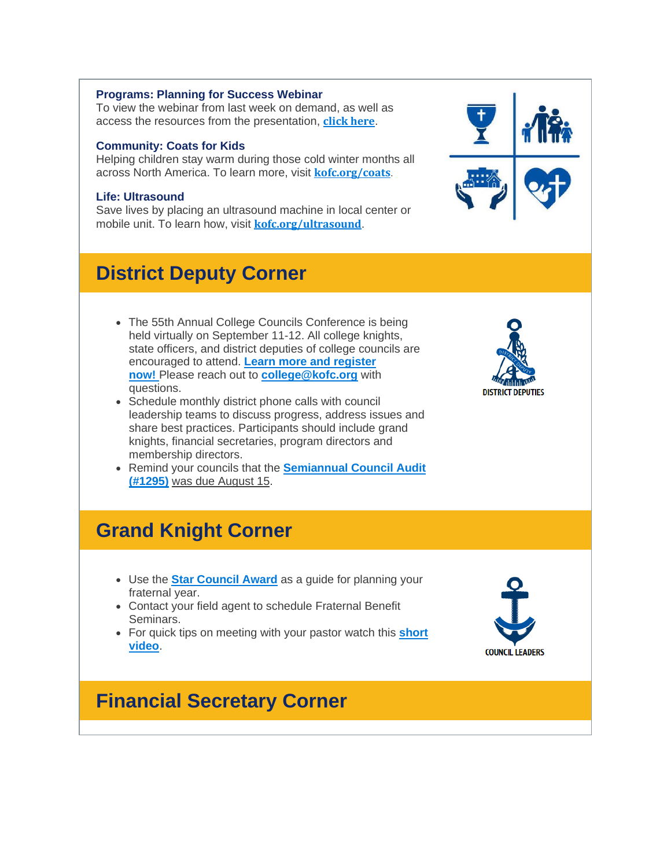#### **Programs: Planning for Success Webinar**

To view the webinar from last week on demand, as well as access the resources from the presentation, **[click](http://r20.rs6.net/tn.jsp?f=001TpZJ_WoKz6oQwRKJ5Ue0lH3ZDtk1uVXjolhQVCHV1U4FN6nkXS15x4qRvoP9HNo9CZcxDvWEW688KK2EiNBS8OyJNfgUps6qRiX2sBazQgiqZS7P-Xtsy9zsm1J1htJyPVTczU7Lzw0h2XB6AhFJq_A6PEo6T_9P4cD0mIBHaf00VNyb-lS0IxSsbHrrlz_pseGTdg-SVDDSniIJQ2YWJA==&c=JnahBK8f8vIoAJwo-bl7ovoQqauD23_xFVG3pbTiCEXzSU0C-3tFCQ==&ch=9oLM3320ZVSSnBPQmyB-OwXPeQwFaMtthxgP65O2-kiO8bhJ82gDuw==) here**.

#### **Community: Coats for Kids**

Helping children stay warm during those cold winter months all across North America. To learn more, visit **[kofc.org/coats](http://r20.rs6.net/tn.jsp?f=001TpZJ_WoKz6oQwRKJ5Ue0lH3ZDtk1uVXjolhQVCHV1U4FN6nkXS15x4qRvoP9HNo9nw-z8tUtpS8_kTsAg6uR17SpAp2Zv0q63ln6jCRfiKJGoTVSAHov_fwc6ABoq2R1yh7xfEOs_5Ly3_igkEHefnKTnNOplf2bbzmHxnL7a4rflprVd_m8FqLFRNalc1nEpWor9KJ8N1NuBpVNESdcGFDQ0DEsFnCNRmu92glka_HNZLaSzIhgpQ==&c=JnahBK8f8vIoAJwo-bl7ovoQqauD23_xFVG3pbTiCEXzSU0C-3tFCQ==&ch=9oLM3320ZVSSnBPQmyB-OwXPeQwFaMtthxgP65O2-kiO8bhJ82gDuw==)**.

#### **Life: Ultrasound**

Save lives by placing an ultrasound machine in local center or mobile unit. To learn how, visit **[kofc.org/ultrasound](http://r20.rs6.net/tn.jsp?f=001TpZJ_WoKz6oQwRKJ5Ue0lH3ZDtk1uVXjolhQVCHV1U4FN6nkXS15x4qRvoP9HNo9PWpgeekwFRAk4a59BPpxVtgbZKx05TKu-HD_WWIaATOUrzo6nFMvJbPt5C5Tca7iAxrh84ZfuWSAdHP9CDTLXW57oMC8_qab2LaPu7Fa-tKcMhCmP1_j6yLvd4MidgEpEwAY2xmeqlUwLD700gYfzNdI1yLi0fSe5AWce9CPT3H9Pxdv4nsFLg==&c=JnahBK8f8vIoAJwo-bl7ovoQqauD23_xFVG3pbTiCEXzSU0C-3tFCQ==&ch=9oLM3320ZVSSnBPQmyB-OwXPeQwFaMtthxgP65O2-kiO8bhJ82gDuw==)**.

# **District Deputy Corner**

- The 55th Annual College Councils Conference is being held virtually on September 11-12. All college knights, state officers, and district deputies of college councils are encouraged to attend. **Learn more and [register](http://r20.rs6.net/tn.jsp?f=001TpZJ_WoKz6oQwRKJ5Ue0lH3ZDtk1uVXjolhQVCHV1U4FN6nkXS15x4qRvoP9HNo9IGSQEZhOgcYH9yOSIi8sdo8f6GJpy5ji_pqTmyGInXSrRVW5Ce639QXrF7plIhPsqxueSp7H9CVQ8orBwpnaspj1GsKUM6AfBilaJtZEq38TH0s4O1xCGuTBg905lrpxNoZQK1K-ME1dXrXCdZk6U0IH7vLlSmBmU0h5k5Jx4bA=&c=JnahBK8f8vIoAJwo-bl7ovoQqauD23_xFVG3pbTiCEXzSU0C-3tFCQ==&ch=9oLM3320ZVSSnBPQmyB-OwXPeQwFaMtthxgP65O2-kiO8bhJ82gDuw==) [now!](http://r20.rs6.net/tn.jsp?f=001TpZJ_WoKz6oQwRKJ5Ue0lH3ZDtk1uVXjolhQVCHV1U4FN6nkXS15x4qRvoP9HNo9IGSQEZhOgcYH9yOSIi8sdo8f6GJpy5ji_pqTmyGInXSrRVW5Ce639QXrF7plIhPsqxueSp7H9CVQ8orBwpnaspj1GsKUM6AfBilaJtZEq38TH0s4O1xCGuTBg905lrpxNoZQK1K-ME1dXrXCdZk6U0IH7vLlSmBmU0h5k5Jx4bA=&c=JnahBK8f8vIoAJwo-bl7ovoQqauD23_xFVG3pbTiCEXzSU0C-3tFCQ==&ch=9oLM3320ZVSSnBPQmyB-OwXPeQwFaMtthxgP65O2-kiO8bhJ82gDuw==)** Please reach out to **[college@kofc.org](mailto:college@kofc.org)** with questions.
- Schedule monthly district phone calls with council leadership teams to discuss progress, address issues and share best practices. Participants should include grand knights, financial secretaries, program directors and membership directors.
- Remind your councils that the **[Semiannual](http://r20.rs6.net/tn.jsp?f=001TpZJ_WoKz6oQwRKJ5Ue0lH3ZDtk1uVXjolhQVCHV1U4FN6nkXS15xzQFDq_jpgqQkubzD2Vg4JV5b06IUvJr2-rO5ePxGw4Ub_tBqGz4gP8xAgOGBteYpsWKRYKQdsDBWvy0_GdOH7TezJOdoS1OBJiK8x4T361YrnOFFw4Ys2rkT7O6PLPpwCPlwxUspM93&c=JnahBK8f8vIoAJwo-bl7ovoQqauD23_xFVG3pbTiCEXzSU0C-3tFCQ==&ch=9oLM3320ZVSSnBPQmyB-OwXPeQwFaMtthxgP65O2-kiO8bhJ82gDuw==) Council Audit [\(#1295\)](http://r20.rs6.net/tn.jsp?f=001TpZJ_WoKz6oQwRKJ5Ue0lH3ZDtk1uVXjolhQVCHV1U4FN6nkXS15xzQFDq_jpgqQkubzD2Vg4JV5b06IUvJr2-rO5ePxGw4Ub_tBqGz4gP8xAgOGBteYpsWKRYKQdsDBWvy0_GdOH7TezJOdoS1OBJiK8x4T361YrnOFFw4Ys2rkT7O6PLPpwCPlwxUspM93&c=JnahBK8f8vIoAJwo-bl7ovoQqauD23_xFVG3pbTiCEXzSU0C-3tFCQ==&ch=9oLM3320ZVSSnBPQmyB-OwXPeQwFaMtthxgP65O2-kiO8bhJ82gDuw==)** was due August 15.



# **Grand Knight Corner**

- Use the **Star [Council](http://r20.rs6.net/tn.jsp?f=001TpZJ_WoKz6oQwRKJ5Ue0lH3ZDtk1uVXjolhQVCHV1U4FN6nkXS15x8OdNF5m8N3CsVXXl2MEklwqJ7f78lgz_EtHWSp7q8hpL_BL9pxTbrCDGy2g_5JzgRMgfsRwkLpi52LW5xdGHVmTOzjHrJv-MXuug7gc26j2ZhafGCbkrFtXpUinaJ66Hnc6aKsu6ZT4ayRr068AkToRZtsqLWDuXQBvqdfWctYCIuiNpvjR8uc=&c=JnahBK8f8vIoAJwo-bl7ovoQqauD23_xFVG3pbTiCEXzSU0C-3tFCQ==&ch=9oLM3320ZVSSnBPQmyB-OwXPeQwFaMtthxgP65O2-kiO8bhJ82gDuw==) Award** as a guide for planning your fraternal year.
- Contact your field agent to schedule Fraternal Benefit Seminars.
- For quick tips on meeting with your pastor watch this **[short](http://r20.rs6.net/tn.jsp?f=001TpZJ_WoKz6oQwRKJ5Ue0lH3ZDtk1uVXjolhQVCHV1U4FN6nkXS15x4qRvoP9HNo9xEaoqvYx3mARkv4xvz1w5MEcAYftSrwTSl2mTjQxE9djSUYfR41VUqV-sBNWvmB--DvKA46r2UUx7wM8KuUV4_dieZZVWUHo1f7uAdfmJXxAzar2dScPgc7QinnjpCmFzTl_ks34zEvrYa-7-k29Ug==&c=JnahBK8f8vIoAJwo-bl7ovoQqauD23_xFVG3pbTiCEXzSU0C-3tFCQ==&ch=9oLM3320ZVSSnBPQmyB-OwXPeQwFaMtthxgP65O2-kiO8bhJ82gDuw==) [video](http://r20.rs6.net/tn.jsp?f=001TpZJ_WoKz6oQwRKJ5Ue0lH3ZDtk1uVXjolhQVCHV1U4FN6nkXS15x4qRvoP9HNo9xEaoqvYx3mARkv4xvz1w5MEcAYftSrwTSl2mTjQxE9djSUYfR41VUqV-sBNWvmB--DvKA46r2UUx7wM8KuUV4_dieZZVWUHo1f7uAdfmJXxAzar2dScPgc7QinnjpCmFzTl_ks34zEvrYa-7-k29Ug==&c=JnahBK8f8vIoAJwo-bl7ovoQqauD23_xFVG3pbTiCEXzSU0C-3tFCQ==&ch=9oLM3320ZVSSnBPQmyB-OwXPeQwFaMtthxgP65O2-kiO8bhJ82gDuw==)**.

# **COUNCIL LEADERS**

# **Financial Secretary Corner**